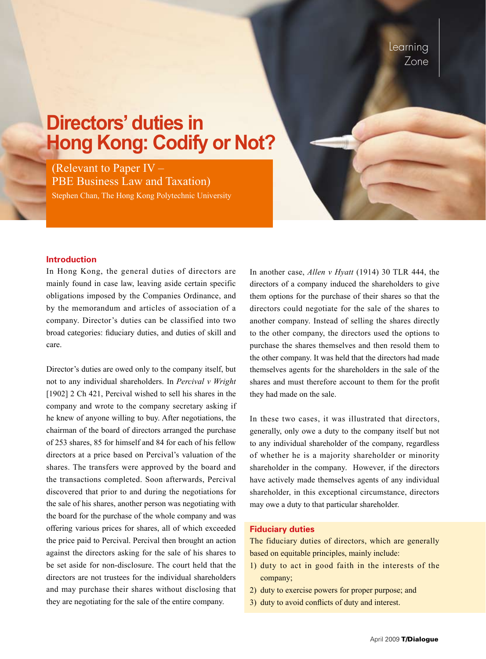# **Directors' duties in Hong Kong: Codify or Not?**

(Relevant to Paper IV – PBE Business Law and Taxation) Stephen Chan, The Hong Kong Polytechnic University

#### **Introduction**

In Hong Kong, the general duties of directors are mainly found in case law, leaving aside certain specific obligations imposed by the Companies Ordinance, and by the memorandum and articles of association of a company. Director's duties can be classified into two broad categories: fiduciary duties, and duties of skill and care.

Director's duties are owed only to the company itself, but not to any individual shareholders. In *Percival v Wright* [1902] 2 Ch 421, Percival wished to sell his shares in the company and wrote to the company secretary asking if he knew of anyone willing to buy. After negotiations, the chairman of the board of directors arranged the purchase of 253 shares, 85 for himself and 84 for each of his fellow directors at a price based on Percival's valuation of the shares. The transfers were approved by the board and the transactions completed. Soon afterwards, Percival discovered that prior to and during the negotiations for the sale of his shares, another person was negotiating with the board for the purchase of the whole company and was offering various prices for shares, all of which exceeded the price paid to Percival. Percival then brought an action against the directors asking for the sale of his shares to be set aside for non-disclosure. The court held that the directors are not trustees for the individual shareholders and may purchase their shares without disclosing that they are negotiating for the sale of the entire company.

In another case, *Allen v Hyatt* (1914) 30 TLR 444, the directors of a company induced the shareholders to give them options for the purchase of their shares so that the directors could negotiate for the sale of the shares to another company. Instead of selling the shares directly to the other company, the directors used the options to purchase the shares themselves and then resold them to the other company. It was held that the directors had made themselves agents for the shareholders in the sale of the shares and must therefore account to them for the profit they had made on the sale.

In these two cases, it was illustrated that directors, generally, only owe a duty to the company itself but not to any individual shareholder of the company, regardless of whether he is a majority shareholder or minority shareholder in the company. However, if the directors have actively made themselves agents of any individual shareholder, in this exceptional circumstance, directors may owe a duty to that particular shareholder.

#### **Fiduciary duties**

The fiduciary duties of directors, which are generally based on equitable principles, mainly include:

- 1) duty to act in good faith in the interests of the company;
- 2) duty to exercise powers for proper purpose; and
- 3) duty to avoid conflicts of duty and interest.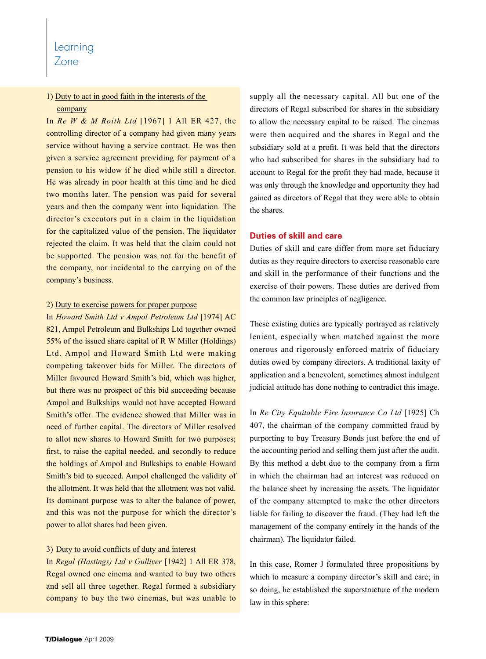# Learning

# Zone

## 1) Duty to act in good faith in the interests of the company

In *Re W & M Roith Ltd* [1967] 1 All ER 427, the controlling director of a company had given many years service without having a service contract. He was then given a service agreement providing for payment of a pension to his widow if he died while still a director. He was already in poor health at this time and he died two months later. The pension was paid for several years and then the company went into liquidation. The director's executors put in a claim in the liquidation for the capitalized value of the pension. The liquidator rejected the claim. It was held that the claim could not be supported. The pension was not for the benefit of the company, nor incidental to the carrying on of the company's business.

#### 2) Duty to exercise powers for proper purpose

In *Howard Smith Ltd v Ampol Petroleum Ltd* [1974] AC 821, Ampol Petroleum and Bulkships Ltd together owned 55% of the issued share capital of R W Miller (Holdings) Ltd. Ampol and Howard Smith Ltd were making competing takeover bids for Miller. The directors of Miller favoured Howard Smith's bid, which was higher, but there was no prospect of this bid succeeding because Ampol and Bulkships would not have accepted Howard Smith's offer. The evidence showed that Miller was in need of further capital. The directors of Miller resolved to allot new shares to Howard Smith for two purposes; first, to raise the capital needed, and secondly to reduce the holdings of Ampol and Bulkships to enable Howard Smith's bid to succeed. Ampol challenged the validity of the allotment. It was held that the allotment was not valid. Its dominant purpose was to alter the balance of power, and this was not the purpose for which the director's power to allot shares had been given.

### 3) Duty to avoid conflicts of duty and interest

In *Regal (Hastings) Ltd v Gulliver* [1942] 1 All ER 378, Regal owned one cinema and wanted to buy two others and sell all three together. Regal formed a subsidiary company to buy the two cinemas, but was unable to supply all the necessary capital. All but one of the directors of Regal subscribed for shares in the subsidiary to allow the necessary capital to be raised. The cinemas were then acquired and the shares in Regal and the subsidiary sold at a profit. It was held that the directors who had subscribed for shares in the subsidiary had to account to Regal for the profit they had made, because it was only through the knowledge and opportunity they had gained as directors of Regal that they were able to obtain the shares.

## **Duties of skill and care**

Duties of skill and care differ from more set fiduciary duties as they require directors to exercise reasonable care and skill in the performance of their functions and the exercise of their powers. These duties are derived from the common law principles of negligence.

These existing duties are typically portrayed as relatively lenient, especially when matched against the more onerous and rigorously enforced matrix of fiduciary duties owed by company directors. A traditional laxity of application and a benevolent, sometimes almost indulgent judicial attitude has done nothing to contradict this image.

In *Re City Equitable Fire Insurance Co Ltd* [1925] Ch 407, the chairman of the company committed fraud by purporting to buy Treasury Bonds just before the end of the accounting period and selling them just after the audit. By this method a debt due to the company from a firm in which the chairman had an interest was reduced on the balance sheet by increasing the assets. The liquidator of the company attempted to make the other directors liable for failing to discover the fraud. (They had left the management of the company entirely in the hands of the chairman). The liquidator failed.

In this case, Romer J formulated three propositions by which to measure a company director's skill and care; in so doing, he established the superstructure of the modern law in this sphere: